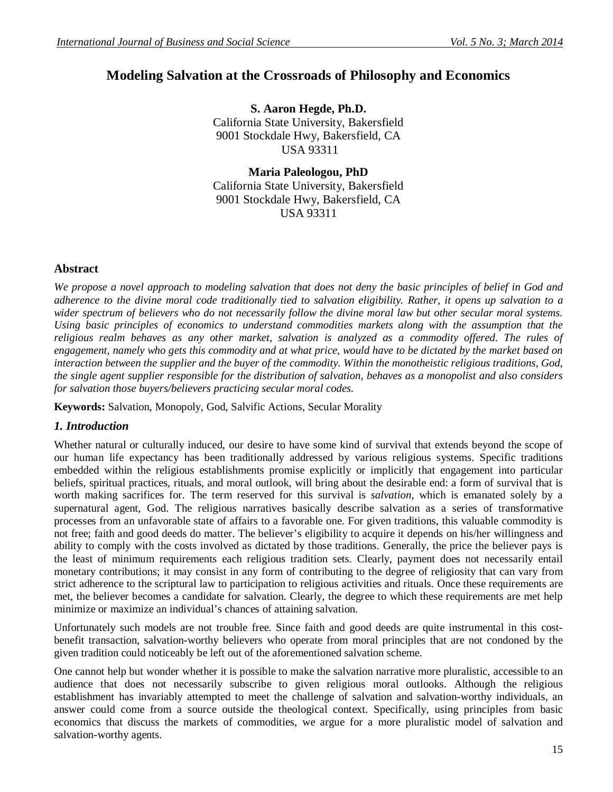# **Modeling Salvation at the Crossroads of Philosophy and Economics**

**S. Aaron Hegde, Ph.D.** California State University, Bakersfield 9001 Stockdale Hwy, Bakersfield, CA USA 93311

**Maria Paleologou, PhD** California State University, Bakersfield 9001 Stockdale Hwy, Bakersfield, CA USA 93311

# **Abstract**

*We propose a novel approach to modeling salvation that does not deny the basic principles of belief in God and adherence to the divine moral code traditionally tied to salvation eligibility. Rather, it opens up salvation to a wider spectrum of believers who do not necessarily follow the divine moral law but other secular moral systems. Using basic principles of economics to understand commodities markets along with the assumption that the religious realm behaves as any other market, salvation is analyzed as a commodity offered. The rules of engagement, namely who gets this commodity and at what price, would have to be dictated by the market based on interaction between the supplier and the buyer of the commodity. Within the monotheistic religious traditions, God, the single agent supplier responsible for the distribution of salvation, behaves as a monopolist and also considers for salvation those buyers/believers practicing secular moral codes.*

**Keywords:** Salvation, Monopoly, God, Salvific Actions, Secular Morality

### *1. Introduction*

Whether natural or culturally induced, our desire to have some kind of survival that extends beyond the scope of our human life expectancy has been traditionally addressed by various religious systems. Specific traditions embedded within the religious establishments promise explicitly or implicitly that engagement into particular beliefs, spiritual practices, rituals, and moral outlook, will bring about the desirable end: a form of survival that is worth making sacrifices for. The term reserved for this survival is *salvation,* which is emanated solely by a supernatural agent, God. The religious narratives basically describe salvation as a series of transformative processes from an unfavorable state of affairs to a favorable one. For given traditions, this valuable commodity is not free; faith and good deeds do matter. The believer's eligibility to acquire it depends on his/her willingness and ability to comply with the costs involved as dictated by those traditions. Generally, the price the believer pays is the least of minimum requirements each religious tradition sets. Clearly, payment does not necessarily entail monetary contributions; it may consist in any form of contributing to the degree of religiosity that can vary from strict adherence to the scriptural law to participation to religious activities and rituals. Once these requirements are met, the believer becomes a candidate for salvation. Clearly, the degree to which these requirements are met help minimize or maximize an individual's chances of attaining salvation.

Unfortunately such models are not trouble free. Since faith and good deeds are quite instrumental in this costbenefit transaction, salvation-worthy believers who operate from moral principles that are not condoned by the given tradition could noticeably be left out of the aforementioned salvation scheme.

One cannot help but wonder whether it is possible to make the salvation narrative more pluralistic, accessible to an audience that does not necessarily subscribe to given religious moral outlooks. Although the religious establishment has invariably attempted to meet the challenge of salvation and salvation-worthy individuals, an answer could come from a source outside the theological context. Specifically, using principles from basic economics that discuss the markets of commodities, we argue for a more pluralistic model of salvation and salvation-worthy agents.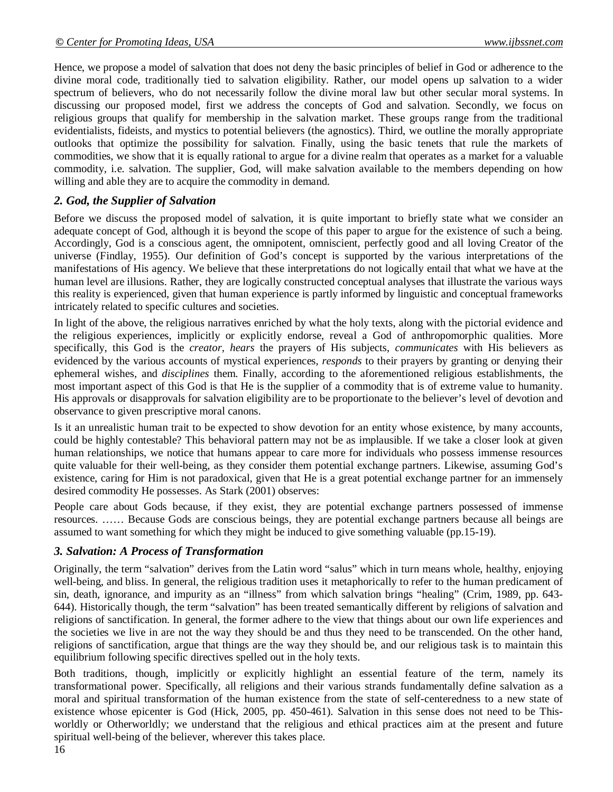Hence, we propose a model of salvation that does not deny the basic principles of belief in God or adherence to the divine moral code, traditionally tied to salvation eligibility. Rather, our model opens up salvation to a wider spectrum of believers, who do not necessarily follow the divine moral law but other secular moral systems. In discussing our proposed model, first we address the concepts of God and salvation. Secondly, we focus on religious groups that qualify for membership in the salvation market. These groups range from the traditional evidentialists, fideists, and mystics to potential believers (the agnostics). Third, we outline the morally appropriate outlooks that optimize the possibility for salvation. Finally, using the basic tenets that rule the markets of commodities, we show that it is equally rational to argue for a divine realm that operates as a market for a valuable commodity, i.e. salvation. The supplier, God, will make salvation available to the members depending on how willing and able they are to acquire the commodity in demand.

### *2. God, the Supplier of Salvation*

Before we discuss the proposed model of salvation, it is quite important to briefly state what we consider an adequate concept of God, although it is beyond the scope of this paper to argue for the existence of such a being. Accordingly, God is a conscious agent, the omnipotent, omniscient, perfectly good and all loving Creator of the universe (Findlay, 1955). Our definition of God's concept is supported by the various interpretations of the manifestations of His agency. We believe that these interpretations do not logically entail that what we have at the human level are illusions. Rather, they are logically constructed conceptual analyses that illustrate the various ways this reality is experienced, given that human experience is partly informed by linguistic and conceptual frameworks intricately related to specific cultures and societies.

In light of the above, the religious narratives enriched by what the holy texts, along with the pictorial evidence and the religious experiences, implicitly or explicitly endorse, reveal a God of anthropomorphic qualities. More specifically, this God is the *creator, hears* the prayers of His subjects, *communicates* with His believers as evidenced by the various accounts of mystical experiences, *responds* to their prayers by granting or denying their ephemeral wishes, and *disciplines* them. Finally, according to the aforementioned religious establishments, the most important aspect of this God is that He is the supplier of a commodity that is of extreme value to humanity. His approvals or disapprovals for salvation eligibility are to be proportionate to the believer's level of devotion and observance to given prescriptive moral canons.

Is it an unrealistic human trait to be expected to show devotion for an entity whose existence, by many accounts, could be highly contestable? This behavioral pattern may not be as implausible. If we take a closer look at given human relationships, we notice that humans appear to care more for individuals who possess immense resources quite valuable for their well-being, as they consider them potential exchange partners. Likewise, assuming God's existence, caring for Him is not paradoxical, given that He is a great potential exchange partner for an immensely desired commodity He possesses. As Stark (2001) observes:

People care about Gods because, if they exist, they are potential exchange partners possessed of immense resources. …… Because Gods are conscious beings, they are potential exchange partners because all beings are assumed to want something for which they might be induced to give something valuable (pp.15-19).

### *3. Salvation: A Process of Transformation*

Originally, the term "salvation" derives from the Latin word "salus" which in turn means whole, healthy, enjoying well-being, and bliss. In general, the religious tradition uses it metaphorically to refer to the human predicament of sin, death, ignorance, and impurity as an "illness" from which salvation brings "healing" (Crim, 1989, pp. 643- 644). Historically though, the term "salvation" has been treated semantically different by religions of salvation and religions of sanctification. In general, the former adhere to the view that things about our own life experiences and the societies we live in are not the way they should be and thus they need to be transcended. On the other hand, religions of sanctification, argue that things are the way they should be, and our religious task is to maintain this equilibrium following specific directives spelled out in the holy texts.

Both traditions, though, implicitly or explicitly highlight an essential feature of the term, namely its transformational power. Specifically, all religions and their various strands fundamentally define salvation as a moral and spiritual transformation of the human existence from the state of self-centeredness to a new state of existence whose epicenter is God (Hick, 2005, pp. 450-461). Salvation in this sense does not need to be Thisworldly or Otherworldly; we understand that the religious and ethical practices aim at the present and future spiritual well-being of the believer, wherever this takes place.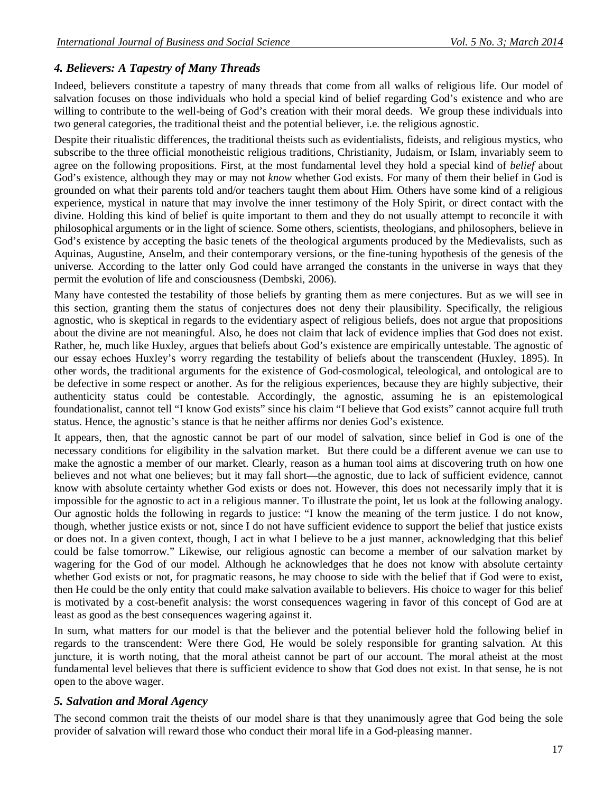## *4. Believers: A Tapestry of Many Threads*

Indeed, believers constitute a tapestry of many threads that come from all walks of religious life. Our model of salvation focuses on those individuals who hold a special kind of belief regarding God's existence and who are willing to contribute to the well-being of God's creation with their moral deeds. We group these individuals into two general categories, the traditional theist and the potential believer, i.e. the religious agnostic.

Despite their ritualistic differences, the traditional theists such as evidentialists, fideists, and religious mystics, who subscribe to the three official monotheistic religious traditions, Christianity, Judaism, or Islam, invariably seem to agree on the following propositions. First, at the most fundamental level they hold a special kind of *belief* about God's existence, although they may or may not *know* whether God exists. For many of them their belief in God is grounded on what their parents told and/or teachers taught them about Him. Others have some kind of a religious experience, mystical in nature that may involve the inner testimony of the Holy Spirit, or direct contact with the divine. Holding this kind of belief is quite important to them and they do not usually attempt to reconcile it with philosophical arguments or in the light of science. Some others, scientists, theologians, and philosophers, believe in God's existence by accepting the basic tenets of the theological arguments produced by the Medievalists, such as Aquinas, Augustine, Anselm, and their contemporary versions, or the fine-tuning hypothesis of the genesis of the universe. According to the latter only God could have arranged the constants in the universe in ways that they permit the evolution of life and consciousness (Dembski, 2006).

Many have contested the testability of those beliefs by granting them as mere conjectures. But as we will see in this section, granting them the status of conjectures does not deny their plausibility. Specifically, the religious agnostic, who is skeptical in regards to the evidentiary aspect of religious beliefs, does not argue that propositions about the divine are not meaningful. Also, he does not claim that lack of evidence implies that God does not exist. Rather, he, much like Huxley, argues that beliefs about God's existence are empirically untestable. The agnostic of our essay echoes Huxley's worry regarding the testability of beliefs about the transcendent (Huxley, 1895). In other words, the traditional arguments for the existence of God-cosmological, teleological, and ontological are to be defective in some respect or another. As for the religious experiences, because they are highly subjective, their authenticity status could be contestable. Accordingly, the agnostic, assuming he is an epistemological foundationalist, cannot tell "I know God exists" since his claim "I believe that God exists" cannot acquire full truth status. Hence, the agnostic's stance is that he neither affirms nor denies God's existence.

It appears, then, that the agnostic cannot be part of our model of salvation, since belief in God is one of the necessary conditions for eligibility in the salvation market. But there could be a different avenue we can use to make the agnostic a member of our market. Clearly, reason as a human tool aims at discovering truth on how one believes and not what one believes; but it may fall short—the agnostic, due to lack of sufficient evidence, cannot know with absolute certainty whether God exists or does not. However, this does not necessarily imply that it is impossible for the agnostic to act in a religious manner. To illustrate the point, let us look at the following analogy. Our agnostic holds the following in regards to justice: "I know the meaning of the term justice. I do not know, though, whether justice exists or not, since I do not have sufficient evidence to support the belief that justice exists or does not. In a given context, though, I act in what I believe to be a just manner, acknowledging that this belief could be false tomorrow." Likewise, our religious agnostic can become a member of our salvation market by wagering for the God of our model. Although he acknowledges that he does not know with absolute certainty whether God exists or not, for pragmatic reasons, he may choose to side with the belief that if God were to exist, then He could be the only entity that could make salvation available to believers. His choice to wager for this belief is motivated by a cost-benefit analysis: the worst consequences wagering in favor of this concept of God are at least as good as the best consequences wagering against it.

In sum, what matters for our model is that the believer and the potential believer hold the following belief in regards to the transcendent: Were there God, He would be solely responsible for granting salvation. At this juncture, it is worth noting, that the moral atheist cannot be part of our account. The moral atheist at the most fundamental level believes that there is sufficient evidence to show that God does not exist. In that sense, he is not open to the above wager.

### *5. Salvation and Moral Agency*

The second common trait the theists of our model share is that they unanimously agree that God being the sole provider of salvation will reward those who conduct their moral life in a God-pleasing manner.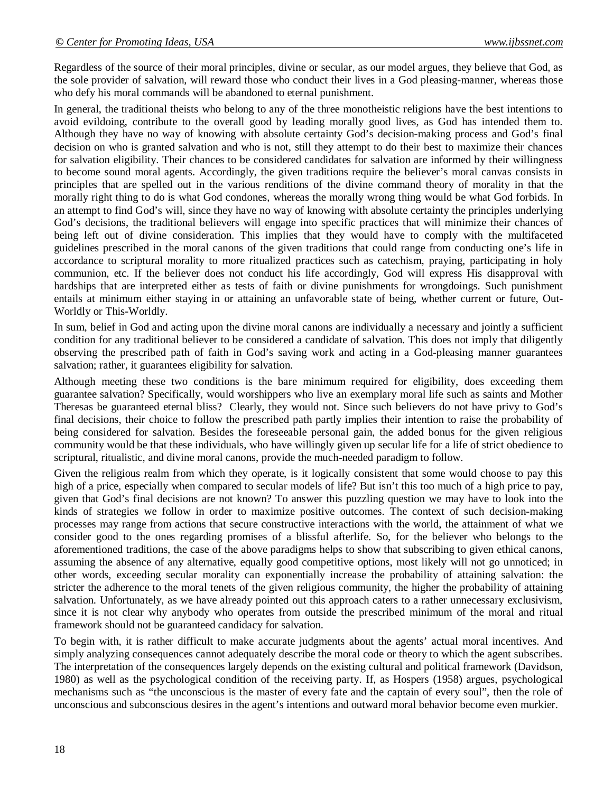Regardless of the source of their moral principles, divine or secular, as our model argues, they believe that God, as the sole provider of salvation, will reward those who conduct their lives in a God pleasing-manner, whereas those who defy his moral commands will be abandoned to eternal punishment.

In general, the traditional theists who belong to any of the three monotheistic religions have the best intentions to avoid evildoing, contribute to the overall good by leading morally good lives, as God has intended them to. Although they have no way of knowing with absolute certainty God's decision-making process and God's final decision on who is granted salvation and who is not, still they attempt to do their best to maximize their chances for salvation eligibility. Their chances to be considered candidates for salvation are informed by their willingness to become sound moral agents. Accordingly, the given traditions require the believer's moral canvas consists in principles that are spelled out in the various renditions of the divine command theory of morality in that the morally right thing to do is what God condones, whereas the morally wrong thing would be what God forbids. In an attempt to find God's will, since they have no way of knowing with absolute certainty the principles underlying God's decisions, the traditional believers will engage into specific practices that will minimize their chances of being left out of divine consideration. This implies that they would have to comply with the multifaceted guidelines prescribed in the moral canons of the given traditions that could range from conducting one's life in accordance to scriptural morality to more ritualized practices such as catechism, praying, participating in holy communion, etc. If the believer does not conduct his life accordingly, God will express His disapproval with hardships that are interpreted either as tests of faith or divine punishments for wrongdoings. Such punishment entails at minimum either staying in or attaining an unfavorable state of being, whether current or future, Out-Worldly or This-Worldly.

In sum, belief in God and acting upon the divine moral canons are individually a necessary and jointly a sufficient condition for any traditional believer to be considered a candidate of salvation. This does not imply that diligently observing the prescribed path of faith in God's saving work and acting in a God-pleasing manner guarantees salvation; rather, it guarantees eligibility for salvation.

Although meeting these two conditions is the bare minimum required for eligibility, does exceeding them guarantee salvation? Specifically, would worshippers who live an exemplary moral life such as saints and Mother Theresas be guaranteed eternal bliss? Clearly, they would not. Since such believers do not have privy to God's final decisions, their choice to follow the prescribed path partly implies their intention to raise the probability of being considered for salvation. Besides the foreseeable personal gain, the added bonus for the given religious community would be that these individuals, who have willingly given up secular life for a life of strict obedience to scriptural, ritualistic, and divine moral canons, provide the much-needed paradigm to follow.

Given the religious realm from which they operate, is it logically consistent that some would choose to pay this high of a price, especially when compared to secular models of life? But isn't this too much of a high price to pay, given that God's final decisions are not known? To answer this puzzling question we may have to look into the kinds of strategies we follow in order to maximize positive outcomes. The context of such decision-making processes may range from actions that secure constructive interactions with the world, the attainment of what we consider good to the ones regarding promises of a blissful afterlife. So, for the believer who belongs to the aforementioned traditions, the case of the above paradigms helps to show that subscribing to given ethical canons, assuming the absence of any alternative, equally good competitive options, most likely will not go unnoticed; in other words, exceeding secular morality can exponentially increase the probability of attaining salvation: the stricter the adherence to the moral tenets of the given religious community, the higher the probability of attaining salvation. Unfortunately, as we have already pointed out this approach caters to a rather unnecessary exclusivism, since it is not clear why anybody who operates from outside the prescribed minimum of the moral and ritual framework should not be guaranteed candidacy for salvation.

To begin with, it is rather difficult to make accurate judgments about the agents' actual moral incentives. And simply analyzing consequences cannot adequately describe the moral code or theory to which the agent subscribes. The interpretation of the consequences largely depends on the existing cultural and political framework (Davidson, 1980) as well as the psychological condition of the receiving party. If, as Hospers (1958) argues, psychological mechanisms such as "the unconscious is the master of every fate and the captain of every soul", then the role of unconscious and subconscious desires in the agent's intentions and outward moral behavior become even murkier.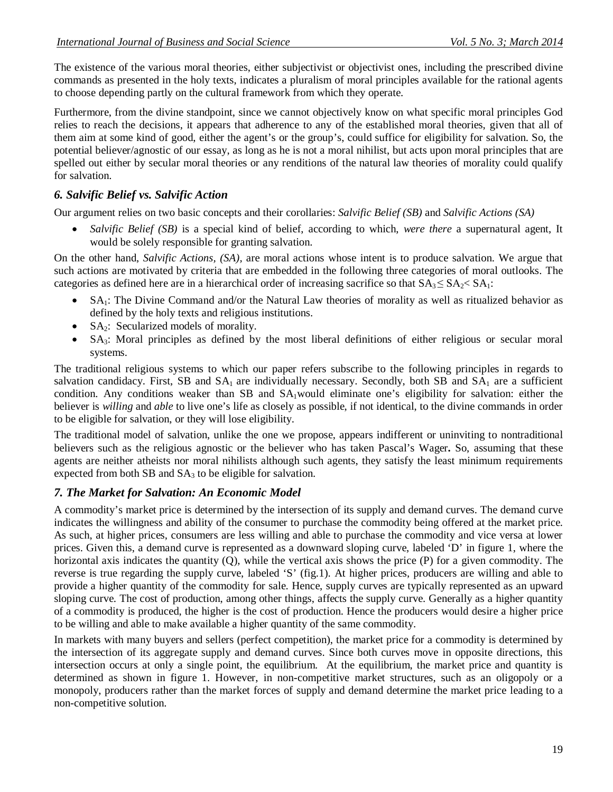The existence of the various moral theories, either subjectivist or objectivist ones, including the prescribed divine commands as presented in the holy texts, indicates a pluralism of moral principles available for the rational agents to choose depending partly on the cultural framework from which they operate.

Furthermore, from the divine standpoint, since we cannot objectively know on what specific moral principles God relies to reach the decisions, it appears that adherence to any of the established moral theories, given that all of them aim at some kind of good, either the agent's or the group's, could suffice for eligibility for salvation. So, the potential believer/agnostic of our essay, as long as he is not a moral nihilist, but acts upon moral principles that are spelled out either by secular moral theories or any renditions of the natural law theories of morality could qualify for salvation.

#### *6. Salvific Belief vs. Salvific Action*

Our argument relies on two basic concepts and their corollaries: *Salvific Belief (SB)* and *Salvific Actions (SA)*

 *Salvific Belief (SB)* is a special kind of belief, according to which, *were there* a supernatural agent, It would be solely responsible for granting salvation.

On the other hand, *Salvific Actions, (SA),* are moral actions whose intent is to produce salvation. We argue that such actions are motivated by criteria that are embedded in the following three categories of moral outlooks. The categories as defined here are in a hierarchical order of increasing sacrifice so that  $SA_3 \leq SA_2 < SA_1$ :

- SA1: The Divine Command and/or the Natural Law theories of morality as well as ritualized behavior as defined by the holy texts and religious institutions.
- $SA<sub>2</sub>$ : Secularized models of morality.
- SA3: Moral principles as defined by the most liberal definitions of either religious or secular moral systems.

The traditional religious systems to which our paper refers subscribe to the following principles in regards to salvation candidacy. First, SB and  $SA<sub>1</sub>$  are individually necessary. Secondly, both SB and  $SA<sub>1</sub>$  are a sufficient condition. Any conditions weaker than SB and  $SA<sub>1</sub>$  would eliminate one's eligibility for salvation: either the believer is *willing* and *able* to live one's life as closely as possible, if not identical, to the divine commands in order to be eligible for salvation, or they will lose eligibility.

The traditional model of salvation, unlike the one we propose, appears indifferent or uninviting to nontraditional believers such as the religious agnostic or the believer who has taken Pascal's Wager**.** So, assuming that these agents are neither atheists nor moral nihilists although such agents, they satisfy the least minimum requirements expected from both SB and  $SA<sub>3</sub>$  to be eligible for salvation.

#### *7. The Market for Salvation: An Economic Model*

A commodity's market price is determined by the intersection of its supply and demand curves. The demand curve indicates the willingness and ability of the consumer to purchase the commodity being offered at the market price. As such, at higher prices, consumers are less willing and able to purchase the commodity and vice versa at lower prices. Given this, a demand curve is represented as a downward sloping curve, labeled 'D' in figure 1, where the horizontal axis indicates the quantity (Q), while the vertical axis shows the price (P) for a given commodity. The reverse is true regarding the supply curve, labeled 'S' (fig.1). At higher prices, producers are willing and able to provide a higher quantity of the commodity for sale. Hence, supply curves are typically represented as an upward sloping curve. The cost of production, among other things, affects the supply curve. Generally as a higher quantity of a commodity is produced, the higher is the cost of production. Hence the producers would desire a higher price to be willing and able to make available a higher quantity of the same commodity.

In markets with many buyers and sellers (perfect competition), the market price for a commodity is determined by the intersection of its aggregate supply and demand curves. Since both curves move in opposite directions, this intersection occurs at only a single point, the equilibrium. At the equilibrium, the market price and quantity is determined as shown in figure 1. However, in non-competitive market structures, such as an oligopoly or a monopoly, producers rather than the market forces of supply and demand determine the market price leading to a non-competitive solution.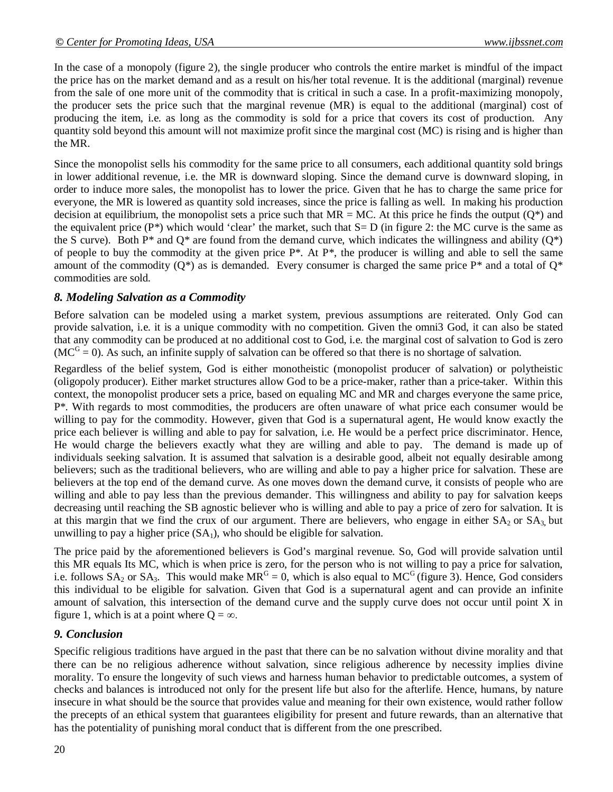In the case of a monopoly (figure 2), the single producer who controls the entire market is mindful of the impact the price has on the market demand and as a result on his/her total revenue. It is the additional (marginal) revenue from the sale of one more unit of the commodity that is critical in such a case. In a profit-maximizing monopoly, the producer sets the price such that the marginal revenue (MR) is equal to the additional (marginal) cost of producing the item, i.e. as long as the commodity is sold for a price that covers its cost of production. Any quantity sold beyond this amount will not maximize profit since the marginal cost (MC) is rising and is higher than the MR.

Since the monopolist sells his commodity for the same price to all consumers, each additional quantity sold brings in lower additional revenue, i.e. the MR is downward sloping. Since the demand curve is downward sloping, in order to induce more sales, the monopolist has to lower the price. Given that he has to charge the same price for everyone, the MR is lowered as quantity sold increases, since the price is falling as well. In making his production decision at equilibrium, the monopolist sets a price such that  $MR = MC$ . At this price he finds the output  $(Q^*)$  and the equivalent price  $(P^*)$  which would 'clear' the market, such that  $S = D$  (in figure 2: the MC curve is the same as the S curve). Both  $P^*$  and  $Q^*$  are found from the demand curve, which indicates the willingness and ability  $(Q^*)$ of people to buy the commodity at the given price  $P^*$ . At  $P^*$ , the producer is willing and able to sell the same amount of the commodity  $(Q^*)$  as is demanded. Every consumer is charged the same price  $P^*$  and a total of  $Q^*$ commodities are sold.

#### *8. Modeling Salvation as a Commodity*

Before salvation can be modeled using a market system, previous assumptions are reiterated. Only God can provide salvation, i.e. it is a unique commodity with no competition. Given the omni3 God, it can also be stated that any commodity can be produced at no additional cost to God, i.e. the marginal cost of salvation to God is zero  $(MC<sup>G</sup> = 0)$ . As such, an infinite supply of salvation can be offered so that there is no shortage of salvation.

Regardless of the belief system, God is either monotheistic (monopolist producer of salvation) or polytheistic (oligopoly producer). Either market structures allow God to be a price-maker, rather than a price-taker. Within this context, the monopolist producer sets a price, based on equaling MC and MR and charges everyone the same price, P\*. With regards to most commodities, the producers are often unaware of what price each consumer would be willing to pay for the commodity. However, given that God is a supernatural agent, He would know exactly the price each believer is willing and able to pay for salvation, i.e. He would be a perfect price discriminator. Hence, He would charge the believers exactly what they are willing and able to pay. The demand is made up of individuals seeking salvation. It is assumed that salvation is a desirable good, albeit not equally desirable among believers; such as the traditional believers, who are willing and able to pay a higher price for salvation. These are believers at the top end of the demand curve. As one moves down the demand curve, it consists of people who are willing and able to pay less than the previous demander. This willingness and ability to pay for salvation keeps decreasing until reaching the SB agnostic believer who is willing and able to pay a price of zero for salvation. It is at this margin that we find the crux of our argument. There are believers, who engage in either  $SA<sub>2</sub>$  or  $SA<sub>3</sub>$ , but unwilling to pay a higher price  $(SA<sub>1</sub>)$ , who should be eligible for salvation.

The price paid by the aforementioned believers is God's marginal revenue. So, God will provide salvation until this MR equals Its MC, which is when price is zero, for the person who is not willing to pay a price for salvation, i.e. follows  $SA_2$  or  $SA_3$ . This would make  $MR^G = 0$ , which is also equal to  $MC^G$  (figure 3). Hence, God considers this individual to be eligible for salvation. Given that God is a supernatural agent and can provide an infinite amount of salvation, this intersection of the demand curve and the supply curve does not occur until point X in figure 1, which is at a point where  $Q = \infty$ .

#### *9. Conclusion*

Specific religious traditions have argued in the past that there can be no salvation without divine morality and that there can be no religious adherence without salvation, since religious adherence by necessity implies divine morality. To ensure the longevity of such views and harness human behavior to predictable outcomes, a system of checks and balances is introduced not only for the present life but also for the afterlife. Hence, humans, by nature insecure in what should be the source that provides value and meaning for their own existence, would rather follow the precepts of an ethical system that guarantees eligibility for present and future rewards, than an alternative that has the potentiality of punishing moral conduct that is different from the one prescribed.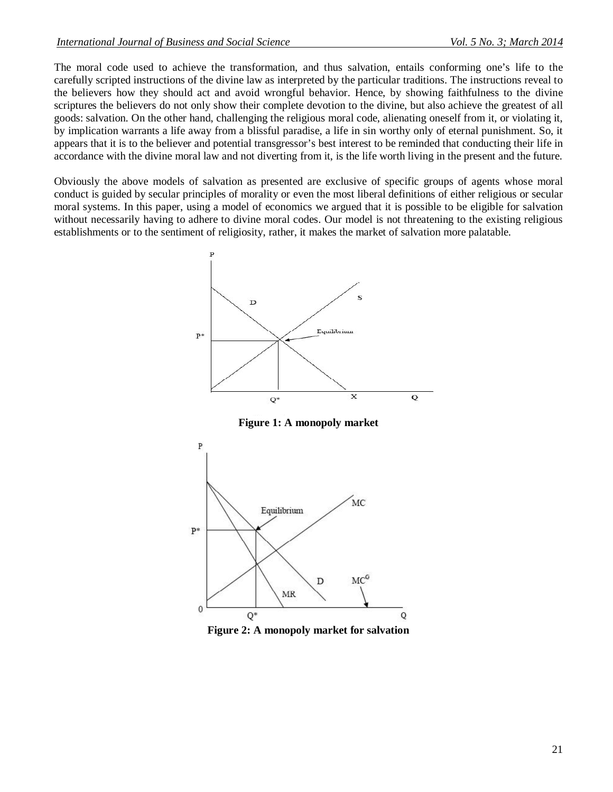The moral code used to achieve the transformation, and thus salvation, entails conforming one's life to the carefully scripted instructions of the divine law as interpreted by the particular traditions. The instructions reveal to the believers how they should act and avoid wrongful behavior. Hence, by showing faithfulness to the divine scriptures the believers do not only show their complete devotion to the divine, but also achieve the greatest of all goods: salvation. On the other hand, challenging the religious moral code, alienating oneself from it, or violating it, by implication warrants a life away from a blissful paradise, a life in sin worthy only of eternal punishment. So, it appears that it is to the believer and potential transgressor's best interest to be reminded that conducting their life in accordance with the divine moral law and not diverting from it, is the life worth living in the present and the future.

Obviously the above models of salvation as presented are exclusive of specific groups of agents whose moral conduct is guided by secular principles of morality or even the most liberal definitions of either religious or secular moral systems. In this paper, using a model of economics we argued that it is possible to be eligible for salvation without necessarily having to adhere to divine moral codes. Our model is not threatening to the existing religious establishments or to the sentiment of religiosity, rather, it makes the market of salvation more palatable.



**Figure 1: A monopoly market**



**Figure 2: A monopoly market for salvation**